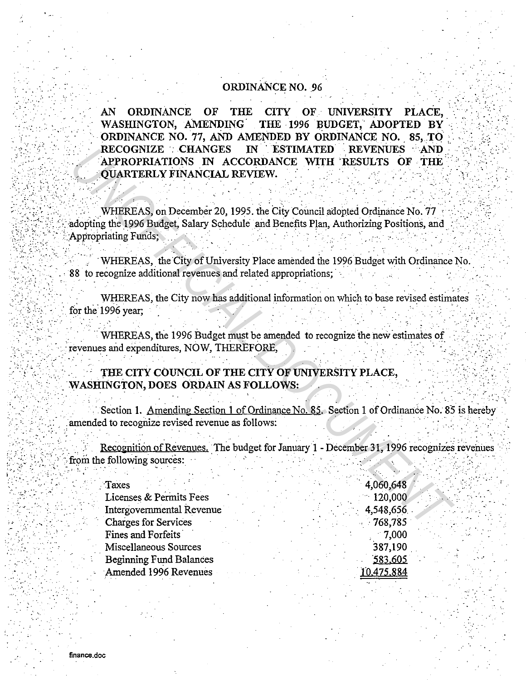## **ORDINANCE NO. 96**

AN **ORDINANCE**  $\overline{or}$ **THE** CITY OF UNIVERSITY PLACE. WASHINGTON, AMENDING THE 1996 BUDGET, ADOPTED BY ORDINANCE NO. 77, AND AMENDED BY ORDINANCE NO. 85, TO **RECOGNIZE CHANGES** IN ESTIMATED REVENUES AND APPROPRIATIONS IN ACCORDANCE WITH RESULTS OF THE **OUARTERLY FINANCIAL REVIEW.** 

WHEREAS, on December 20, 1995. the City Council adopted Ordinance No. 77 adopting the 1996 Budget, Salary Schedule and Benefits Plan, Authorizing Positions, and Appropriating Funds:

WHEREAS, the City of University Place amended the 1996 Budget with Ordinance No. 88 to recognize additional revenues and related appropriations:

WHEREAS, the City now has additional information on which to base revised estimates for the 1996 year:

WHEREAS, the 1996 Budget must be amended to recognize the new estimates of revenues and expenditures. NOW, THEREFORE,

## THE CITY COUNCIL OF THE CITY OF UNIVERSITY PLACE, WASHINGTON, DOES ORDAIN AS FOLLOWS:

Section 1. Amending Section 1 of Ordinance No. 85. Section 1 of Ordinance No. 85 is hereby amended to recognize revised revenue as follows:

Recognition of Revenues. The budget for January 1 - December 31, 1996 recognizes revenues from the following sources:

| Taxes                          |  | 4,060,648  |
|--------------------------------|--|------------|
| Licenses & Permits Fees        |  | 120,000    |
| Intergovernmental Revenue      |  | 4,548,656  |
| <b>Charges for Services</b>    |  | $-768,785$ |
| Fines and Forfeits             |  | $-7.000$   |
| Miscellaneous Sources          |  | 387,190    |
| <b>Beginning Fund Balances</b> |  | 583.605    |
| Amended 1996 Revenues          |  | 10,475,884 |
|                                |  |            |